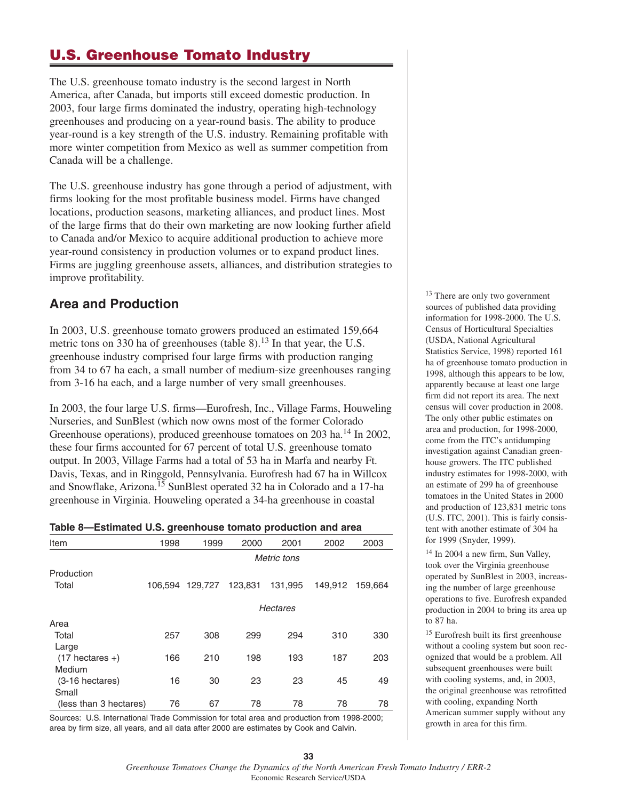# **U.S. Greenhouse Tomato Industry**

The U.S. greenhouse tomato industry is the second largest in North America, after Canada, but imports still exceed domestic production. In 2003, four large firms dominated the industry, operating high-technology greenhouses and producing on a year-round basis. The ability to produce year-round is a key strength of the U.S. industry. Remaining profitable with more winter competition from Mexico as well as summer competition from Canada will be a challenge.

The U.S. greenhouse industry has gone through a period of adjustment, with firms looking for the most profitable business model. Firms have changed locations, production seasons, marketing alliances, and product lines. Most of the large firms that do their own marketing are now looking further afield to Canada and/or Mexico to acquire additional production to achieve more year-round consistency in production volumes or to expand product lines. Firms are juggling greenhouse assets, alliances, and distribution strategies to improve profitability.

## **Area and Production**

In 2003, U.S. greenhouse tomato growers produced an estimated 159,664 metric tons on 330 ha of greenhouses (table 8).<sup>13</sup> In that year, the U.S. greenhouse industry comprised four large firms with production ranging from 34 to 67 ha each, a small number of medium-size greenhouses ranging from 3-16 ha each, and a large number of very small greenhouses.

In 2003, the four large U.S. firms—Eurofresh, Inc., Village Farms, Houweling Nurseries, and SunBlest (which now owns most of the former Colorado Greenhouse operations), produced greenhouse tomatoes on 203 ha.14 In 2002, these four firms accounted for 67 percent of total U.S. greenhouse tomato output. In 2003, Village Farms had a total of 53 ha in Marfa and nearby Ft. Davis, Texas, and in Ringgold, Pennsylvania. Eurofresh had 67 ha in Willcox and Snowflake, Arizona.15 SunBlest operated 32 ha in Colorado and a 17-ha greenhouse in Virginia. Houweling operated a 34-ha greenhouse in coastal

| Table 8-Estimated U.S. greenhouse tomato production and area |  |  |  |
|--------------------------------------------------------------|--|--|--|
|--------------------------------------------------------------|--|--|--|

| Item                   | 1998    | 1999        | 2000            | 2001    | 2002    | 2003    |  |  |  |
|------------------------|---------|-------------|-----------------|---------|---------|---------|--|--|--|
|                        |         | Metric tons |                 |         |         |         |  |  |  |
| Production             |         |             |                 |         |         |         |  |  |  |
| Total                  | 106.594 | 129,727     | 123,831         | 131,995 | 149,912 | 159,664 |  |  |  |
|                        |         |             | <b>Hectares</b> |         |         |         |  |  |  |
| Area                   |         |             |                 |         |         |         |  |  |  |
| Total                  | 257     | 308         | 299             | 294     | 310     | 330     |  |  |  |
| Large                  |         |             |                 |         |         |         |  |  |  |
| $(17$ hectares +)      | 166     | 210         | 198             | 193     | 187     | 203     |  |  |  |
| Medium                 |         |             |                 |         |         |         |  |  |  |
| $(3-16$ hectares)      | 16      | 30          | 23              | 23      | 45      | 49      |  |  |  |
| Small                  |         |             |                 |         |         |         |  |  |  |
| (less than 3 hectares) | 76      | 67          | 78              | 78      | 78      | 78      |  |  |  |

Sources: U.S. International Trade Commission for total area and production from 1998-2000; area by firm size, all years, and all data after 2000 are estimates by Cook and Calvin.

<sup>13</sup> There are only two government sources of published data providing information for 1998-2000. The U.S. Census of Horticultural Specialties (USDA, National Agricultural Statistics Service, 1998) reported 161 ha of greenhouse tomato production in 1998, although this appears to be low, apparently because at least one large firm did not report its area. The next census will cover production in 2008. The only other public estimates on area and production, for 1998-2000, come from the ITC's antidumping investigation against Canadian greenhouse growers. The ITC published industry estimates for 1998-2000, with an estimate of 299 ha of greenhouse tomatoes in the United States in 2000 and production of 123,831 metric tons (U.S. ITC, 2001). This is fairly consistent with another estimate of 304 ha for 1999 (Snyder, 1999).

<sup>14</sup> In 2004 a new firm, Sun Valley, took over the Virginia greenhouse operated by SunBlest in 2003, increasing the number of large greenhouse operations to five. Eurofresh expanded production in 2004 to bring its area up to 87 ha.

<sup>15</sup> Eurofresh built its first greenhouse without a cooling system but soon recognized that would be a problem. All subsequent greenhouses were built with cooling systems, and, in 2003, the original greenhouse was retrofitted with cooling, expanding North American summer supply without any growth in area for this firm.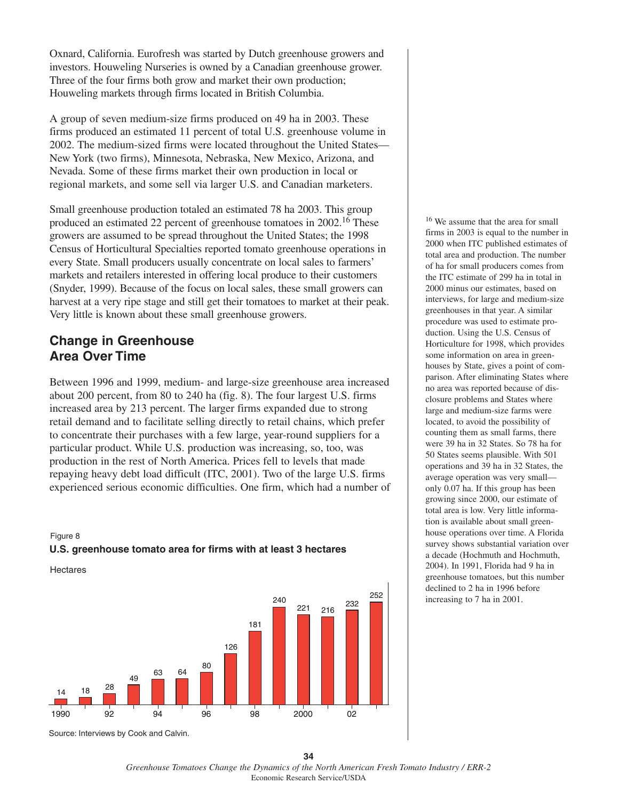Oxnard, California. Eurofresh was started by Dutch greenhouse growers and investors. Houweling Nurseries is owned by a Canadian greenhouse grower. Three of the four firms both grow and market their own production; Houweling markets through firms located in British Columbia.

A group of seven medium-size firms produced on 49 ha in 2003. These firms produced an estimated 11 percent of total U.S. greenhouse volume in 2002. The medium-sized firms were located throughout the United States— New York (two firms), Minnesota, Nebraska, New Mexico, Arizona, and Nevada. Some of these firms market their own production in local or regional markets, and some sell via larger U.S. and Canadian marketers.

Small greenhouse production totaled an estimated 78 ha 2003. This group produced an estimated 22 percent of greenhouse tomatoes in 2002.16 These growers are assumed to be spread throughout the United States; the 1998 Census of Horticultural Specialties reported tomato greenhouse operations in every State. Small producers usually concentrate on local sales to farmers' markets and retailers interested in offering local produce to their customers (Snyder, 1999). Because of the focus on local sales, these small growers can harvest at a very ripe stage and still get their tomatoes to market at their peak. Very little is known about these small greenhouse growers.

### **Change in Greenhouse Area Over Time**

Between 1996 and 1999, medium- and large-size greenhouse area increased about 200 percent, from 80 to 240 ha (fig. 8). The four largest U.S. firms increased area by 213 percent. The larger firms expanded due to strong retail demand and to facilitate selling directly to retail chains, which prefer to concentrate their purchases with a few large, year-round suppliers for a particular product. While U.S. production was increasing, so, too, was production in the rest of North America. Prices fell to levels that made repaying heavy debt load difficult (ITC, 2001). Two of the large U.S. firms experienced serious economic difficulties. One firm, which had a number of



Hectares



Source: Interviews by Cook and Calvin.

<sup>16</sup> We assume that the area for small firms in 2003 is equal to the number in 2000 when ITC published estimates of total area and production. The number of ha for small producers comes from the ITC estimate of 299 ha in total in 2000 minus our estimates, based on interviews, for large and medium-size greenhouses in that year. A similar procedure was used to estimate production. Using the U.S. Census of Horticulture for 1998, which provides some information on area in greenhouses by State, gives a point of comparison. After eliminating States where no area was reported because of disclosure problems and States where large and medium-size farms were located, to avoid the possibility of counting them as small farms, there were 39 ha in 32 States. So 78 ha for 50 States seems plausible. With 501 operations and 39 ha in 32 States, the average operation was very small only 0.07 ha. If this group has been growing since 2000, our estimate of total area is low. Very little information is available about small greenhouse operations over time. A Florida survey shows substantial variation over a decade (Hochmuth and Hochmuth, 2004). In 1991, Florida had 9 ha in greenhouse tomatoes, but this number declined to 2 ha in 1996 before increasing to 7 ha in 2001.

**<sup>34</sup>** *Greenhouse Tomatoes Change the Dynamics of the North American Fresh Tomato Industry / ERR-2* Economic Research Service/USDA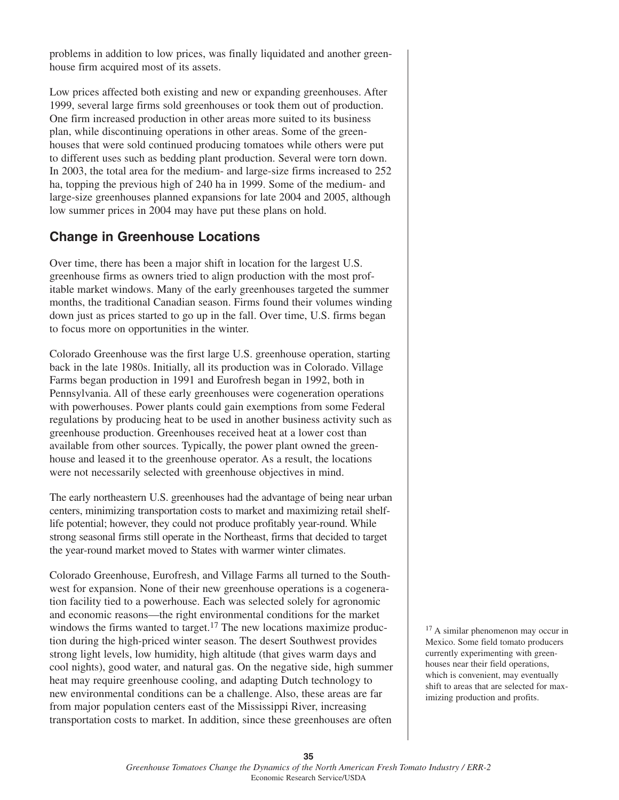problems in addition to low prices, was finally liquidated and another greenhouse firm acquired most of its assets.

Low prices affected both existing and new or expanding greenhouses. After 1999, several large firms sold greenhouses or took them out of production. One firm increased production in other areas more suited to its business plan, while discontinuing operations in other areas. Some of the greenhouses that were sold continued producing tomatoes while others were put to different uses such as bedding plant production. Several were torn down. In 2003, the total area for the medium- and large-size firms increased to 252 ha, topping the previous high of 240 ha in 1999. Some of the medium- and large-size greenhouses planned expansions for late 2004 and 2005, although low summer prices in 2004 may have put these plans on hold.

### **Change in Greenhouse Locations**

Over time, there has been a major shift in location for the largest U.S. greenhouse firms as owners tried to align production with the most profitable market windows. Many of the early greenhouses targeted the summer months, the traditional Canadian season. Firms found their volumes winding down just as prices started to go up in the fall. Over time, U.S. firms began to focus more on opportunities in the winter.

Colorado Greenhouse was the first large U.S. greenhouse operation, starting back in the late 1980s. Initially, all its production was in Colorado. Village Farms began production in 1991 and Eurofresh began in 1992, both in Pennsylvania. All of these early greenhouses were cogeneration operations with powerhouses. Power plants could gain exemptions from some Federal regulations by producing heat to be used in another business activity such as greenhouse production. Greenhouses received heat at a lower cost than available from other sources. Typically, the power plant owned the greenhouse and leased it to the greenhouse operator. As a result, the locations were not necessarily selected with greenhouse objectives in mind.

The early northeastern U.S. greenhouses had the advantage of being near urban centers, minimizing transportation costs to market and maximizing retail shelflife potential; however, they could not produce profitably year-round. While strong seasonal firms still operate in the Northeast, firms that decided to target the year-round market moved to States with warmer winter climates.

Colorado Greenhouse, Eurofresh, and Village Farms all turned to the Southwest for expansion. None of their new greenhouse operations is a cogeneration facility tied to a powerhouse. Each was selected solely for agronomic and economic reasons—the right environmental conditions for the market windows the firms wanted to target.<sup>17</sup> The new locations maximize production during the high-priced winter season. The desert Southwest provides strong light levels, low humidity, high altitude (that gives warm days and cool nights), good water, and natural gas. On the negative side, high summer heat may require greenhouse cooling, and adapting Dutch technology to new environmental conditions can be a challenge. Also, these areas are far from major population centers east of the Mississippi River, increasing transportation costs to market. In addition, since these greenhouses are often

<sup>17</sup> A similar phenomenon may occur in Mexico. Some field tomato producers currently experimenting with greenhouses near their field operations, which is convenient, may eventually shift to areas that are selected for maximizing production and profits.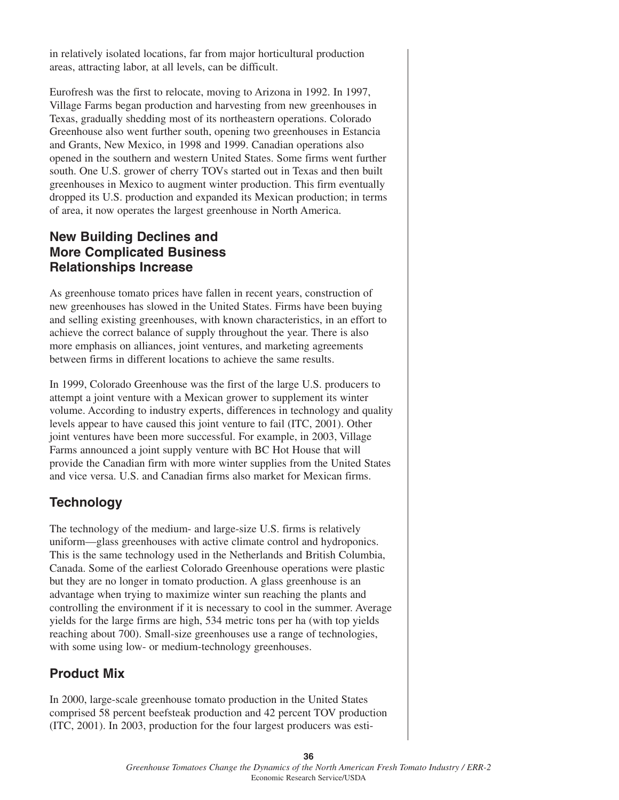in relatively isolated locations, far from major horticultural production areas, attracting labor, at all levels, can be difficult.

Eurofresh was the first to relocate, moving to Arizona in 1992. In 1997, Village Farms began production and harvesting from new greenhouses in Texas, gradually shedding most of its northeastern operations. Colorado Greenhouse also went further south, opening two greenhouses in Estancia and Grants, New Mexico, in 1998 and 1999. Canadian operations also opened in the southern and western United States. Some firms went further south. One U.S. grower of cherry TOVs started out in Texas and then built greenhouses in Mexico to augment winter production. This firm eventually dropped its U.S. production and expanded its Mexican production; in terms of area, it now operates the largest greenhouse in North America.

## **New Building Declines and More Complicated Business Relationships Increase**

As greenhouse tomato prices have fallen in recent years, construction of new greenhouses has slowed in the United States. Firms have been buying and selling existing greenhouses, with known characteristics, in an effort to achieve the correct balance of supply throughout the year. There is also more emphasis on alliances, joint ventures, and marketing agreements between firms in different locations to achieve the same results.

In 1999, Colorado Greenhouse was the first of the large U.S. producers to attempt a joint venture with a Mexican grower to supplement its winter volume. According to industry experts, differences in technology and quality levels appear to have caused this joint venture to fail (ITC, 2001). Other joint ventures have been more successful. For example, in 2003, Village Farms announced a joint supply venture with BC Hot House that will provide the Canadian firm with more winter supplies from the United States and vice versa. U.S. and Canadian firms also market for Mexican firms.

# **Technology**

The technology of the medium- and large-size U.S. firms is relatively uniform—glass greenhouses with active climate control and hydroponics. This is the same technology used in the Netherlands and British Columbia, Canada. Some of the earliest Colorado Greenhouse operations were plastic but they are no longer in tomato production. A glass greenhouse is an advantage when trying to maximize winter sun reaching the plants and controlling the environment if it is necessary to cool in the summer. Average yields for the large firms are high, 534 metric tons per ha (with top yields reaching about 700). Small-size greenhouses use a range of technologies, with some using low- or medium-technology greenhouses.

# **Product Mix**

In 2000, large-scale greenhouse tomato production in the United States comprised 58 percent beefsteak production and 42 percent TOV production (ITC, 2001). In 2003, production for the four largest producers was esti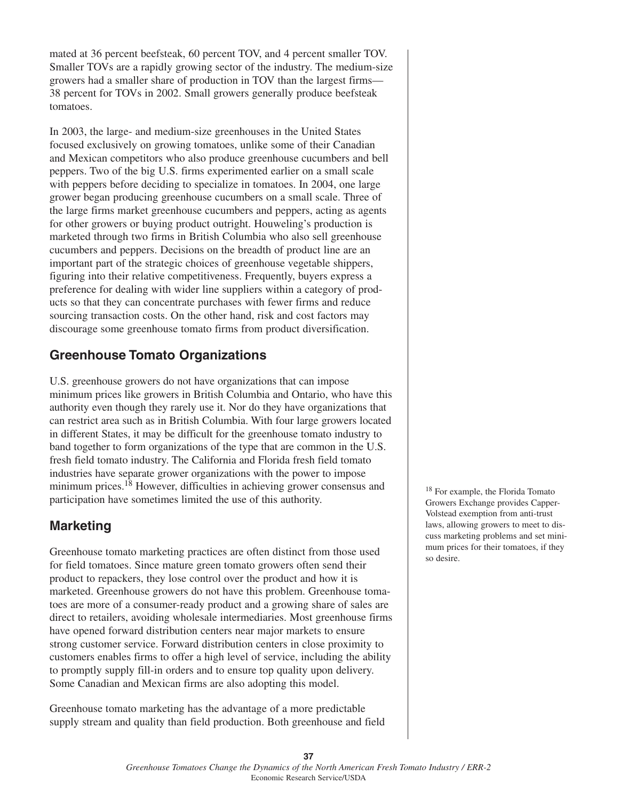mated at 36 percent beefsteak, 60 percent TOV, and 4 percent smaller TOV. Smaller TOVs are a rapidly growing sector of the industry. The medium-size growers had a smaller share of production in TOV than the largest firms— 38 percent for TOVs in 2002. Small growers generally produce beefsteak tomatoes.

In 2003, the large- and medium-size greenhouses in the United States focused exclusively on growing tomatoes, unlike some of their Canadian and Mexican competitors who also produce greenhouse cucumbers and bell peppers. Two of the big U.S. firms experimented earlier on a small scale with peppers before deciding to specialize in tomatoes. In 2004, one large grower began producing greenhouse cucumbers on a small scale. Three of the large firms market greenhouse cucumbers and peppers, acting as agents for other growers or buying product outright. Houweling's production is marketed through two firms in British Columbia who also sell greenhouse cucumbers and peppers. Decisions on the breadth of product line are an important part of the strategic choices of greenhouse vegetable shippers, figuring into their relative competitiveness. Frequently, buyers express a preference for dealing with wider line suppliers within a category of products so that they can concentrate purchases with fewer firms and reduce sourcing transaction costs. On the other hand, risk and cost factors may discourage some greenhouse tomato firms from product diversification.

### **Greenhouse Tomato Organizations**

U.S. greenhouse growers do not have organizations that can impose minimum prices like growers in British Columbia and Ontario, who have this authority even though they rarely use it. Nor do they have organizations that can restrict area such as in British Columbia. With four large growers located in different States, it may be difficult for the greenhouse tomato industry to band together to form organizations of the type that are common in the U.S. fresh field tomato industry. The California and Florida fresh field tomato industries have separate grower organizations with the power to impose minimum prices.18 However, difficulties in achieving grower consensus and participation have sometimes limited the use of this authority.

# **Marketing**

Greenhouse tomato marketing practices are often distinct from those used for field tomatoes. Since mature green tomato growers often send their product to repackers, they lose control over the product and how it is marketed. Greenhouse growers do not have this problem. Greenhouse tomatoes are more of a consumer-ready product and a growing share of sales are direct to retailers, avoiding wholesale intermediaries. Most greenhouse firms have opened forward distribution centers near major markets to ensure strong customer service. Forward distribution centers in close proximity to customers enables firms to offer a high level of service, including the ability to promptly supply fill-in orders and to ensure top quality upon delivery. Some Canadian and Mexican firms are also adopting this model.

Greenhouse tomato marketing has the advantage of a more predictable supply stream and quality than field production. Both greenhouse and field <sup>18</sup> For example, the Florida Tomato Growers Exchange provides Capper-Volstead exemption from anti-trust laws, allowing growers to meet to discuss marketing problems and set minimum prices for their tomatoes, if they so desire.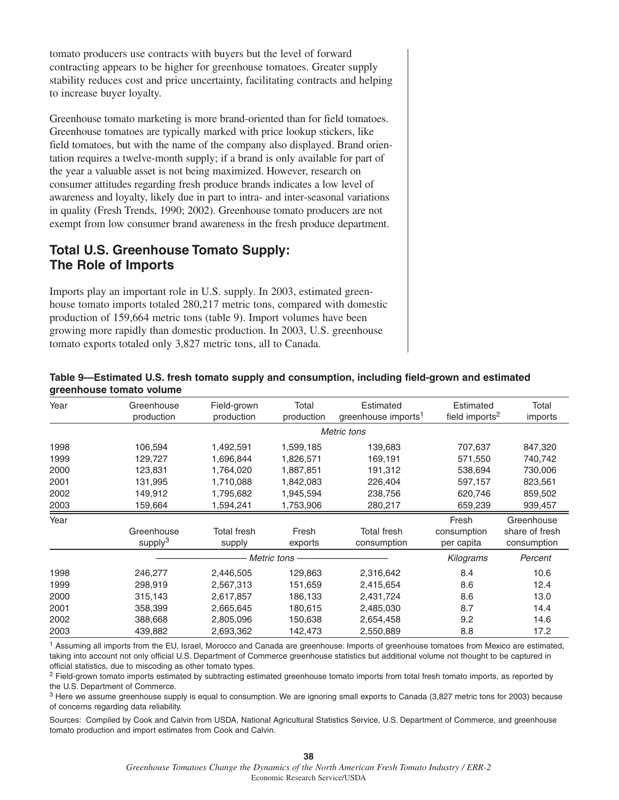tomato producers use contracts with buyers but the level of forward contracting appears to be higher for greenhouse tomatoes. Greater supply stability reduces cost and price uncertainty, facilitating contracts and helping to increase buyer loyalty.

Greenhouse tomato marketing is more brand-oriented than for field tomatoes. Greenhouse tomatoes are typically marked with price lookup stickers, like field tomatoes, but with the name of the company also displayed. Brand orientation requires a twelve-month supply; if a brand is only available for part of the year a valuable asset is not being maximized. However, research on consumer attitudes regarding fresh produce brands indicates a low level of awareness and loyalty, likely due in part to intra- and inter-seasonal variations in quality (Fresh Trends, 1990; 2002). Greenhouse tomato producers are not exempt from low consumer brand awareness in the fresh produce department.

## **Total U.S. Greenhouse Tomato Supply: The Role of Imports**

Imports play an important role in U.S. supply. In 2003, estimated greenhouse tomato imports totaled 280,217 metric tons, compared with domestic production of 159,664 metric tons (table 9). Import volumes have been growing more rapidly than domestic production. In 2003, U.S. greenhouse tomato exports totaled only 3,827 metric tons, all to Canada.

| Year | Greenhouse<br>production | Field-grown<br>production | Total<br>production | Estimated<br>greenhouse imports <sup>1</sup> | Estimated<br>field imports <sup>2</sup> | Total<br>imports |  |
|------|--------------------------|---------------------------|---------------------|----------------------------------------------|-----------------------------------------|------------------|--|
|      | Metric tons              |                           |                     |                                              |                                         |                  |  |
| 1998 | 106,594                  | 1,492,591                 | 1,599,185           | 139,683                                      | 707,637                                 | 847,320          |  |
| 1999 | 129,727                  | 1,696,844                 | 1,826,571           | 169,191                                      | 571,550                                 | 740,742          |  |
| 2000 | 123,831                  | 1,764,020                 | 1,887,851           | 191,312                                      | 538,694                                 | 730,006          |  |
| 2001 | 131,995                  | 1,710,088                 | 1,842,083           | 226,404                                      | 597,157                                 | 823,561          |  |
| 2002 | 149,912                  | 1,795,682                 | 1,945,594           | 238,756                                      | 620,746                                 | 859,502          |  |
| 2003 | 159,664                  | 1,594,241                 | 1,753,906           | 280,217                                      | 659,239                                 | 939,457          |  |
| Year |                          |                           |                     |                                              | Fresh                                   | Greenhouse       |  |
|      | Greenhouse               | <b>Total fresh</b>        | Fresh               | <b>Total fresh</b>                           | consumption                             | share of fresh   |  |
|      | supply <sup>3</sup>      | supply                    | exports             | consumption                                  | per capita                              | consumption      |  |
|      |                          | Metric tons               |                     |                                              | <b>Kilograms</b>                        | Percent          |  |
| 1998 | 246,277                  | 2,446,505                 | 129,863             | 2,316,642                                    | 8.4                                     | 10.6             |  |
| 1999 | 298,919                  | 2,567,313                 | 151,659             | 2,415,654                                    | 8.6                                     | 12.4             |  |
| 2000 | 315,143                  | 2,617,857                 | 186,133             | 2,431,724                                    | 8.6                                     | 13.0             |  |
| 2001 | 358,399                  | 2,665,645                 | 180,615             | 2,485,030                                    | 8.7                                     | 14.4             |  |
| 2002 | 388,668                  | 2,805,096                 | 150,638             | 2,654,458                                    | 9.2                                     | 14.6             |  |
| 2003 | 439,882                  | 2,693,362                 | 142,473             | 2,550,889                                    | 8.8                                     | 17.2             |  |

#### **Table 9—Estimated U.S. fresh tomato supply and consumption, including field-grown and estimated greenhouse tomato volume**

<sup>1</sup> Assuming all imports from the EU, Israel, Morocco and Canada are greenhouse. Imports of greenhouse tomatoes from Mexico are estimated, taking into account not only official U.S. Department of Commerce greenhouse statistics but additional volume not thought to be captured in official statistics, due to miscoding as other tomato types.

<sup>2</sup> Field-grown tomato imports estimated by subtracting estimated greenhouse tomato imports from total fresh tomato imports, as reported by the U.S. Department of Commerce.

<sup>3</sup> Here we assume greenhouse supply is equal to consumption. We are ignoring small exports to Canada (3,827 metric tons for 2003) because of concerns regarding data reliability.

Sources: Compiled by Cook and Calvin from USDA, National Agricultural Statistics Service, U.S. Department of Commerce, and greenhouse tomato production and import estimates from Cook and Calvin.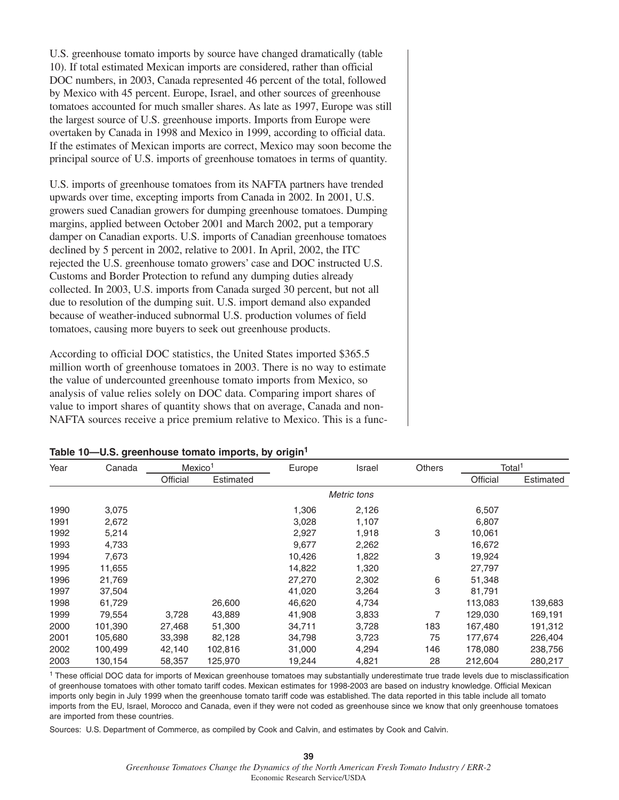U.S. greenhouse tomato imports by source have changed dramatically (table 10). If total estimated Mexican imports are considered, rather than official DOC numbers, in 2003, Canada represented 46 percent of the total, followed by Mexico with 45 percent. Europe, Israel, and other sources of greenhouse tomatoes accounted for much smaller shares. As late as 1997, Europe was still the largest source of U.S. greenhouse imports. Imports from Europe were overtaken by Canada in 1998 and Mexico in 1999, according to official data. If the estimates of Mexican imports are correct, Mexico may soon become the principal source of U.S. imports of greenhouse tomatoes in terms of quantity.

U.S. imports of greenhouse tomatoes from its NAFTA partners have trended upwards over time, excepting imports from Canada in 2002. In 2001, U.S. growers sued Canadian growers for dumping greenhouse tomatoes. Dumping margins, applied between October 2001 and March 2002, put a temporary damper on Canadian exports. U.S. imports of Canadian greenhouse tomatoes declined by 5 percent in 2002, relative to 2001. In April, 2002, the ITC rejected the U.S. greenhouse tomato growers' case and DOC instructed U.S. Customs and Border Protection to refund any dumping duties already collected. In 2003, U.S. imports from Canada surged 30 percent, but not all due to resolution of the dumping suit. U.S. import demand also expanded because of weather-induced subnormal U.S. production volumes of field tomatoes, causing more buyers to seek out greenhouse products.

According to official DOC statistics, the United States imported \$365.5 million worth of greenhouse tomatoes in 2003. There is no way to estimate the value of undercounted greenhouse tomato imports from Mexico, so analysis of value relies solely on DOC data. Comparing import shares of value to import shares of quantity shows that on average, Canada and non-NAFTA sources receive a price premium relative to Mexico. This is a func-

| Year | Canada  | Mexico <sup>1</sup> |           | Europe | Israel      | <b>Others</b> | Total <sup>1</sup> |           |
|------|---------|---------------------|-----------|--------|-------------|---------------|--------------------|-----------|
|      |         | Official            | Estimated |        |             |               | Official           | Estimated |
|      |         |                     |           |        | Metric tons |               |                    |           |
| 1990 | 3,075   |                     |           | 1,306  | 2,126       |               | 6,507              |           |
| 1991 | 2,672   |                     |           | 3,028  | 1,107       |               | 6,807              |           |
| 1992 | 5,214   |                     |           | 2,927  | 1,918       | 3             | 10,061             |           |
| 1993 | 4,733   |                     |           | 9,677  | 2,262       |               | 16,672             |           |
| 1994 | 7,673   |                     |           | 10,426 | 1,822       | 3             | 19,924             |           |
| 1995 | 11,655  |                     |           | 14,822 | 1,320       |               | 27,797             |           |
| 1996 | 21,769  |                     |           | 27,270 | 2,302       | 6             | 51,348             |           |
| 1997 | 37,504  |                     |           | 41,020 | 3,264       | 3             | 81,791             |           |
| 1998 | 61,729  |                     | 26,600    | 46,620 | 4,734       |               | 113,083            | 139,683   |
| 1999 | 79,554  | 3,728               | 43,889    | 41,908 | 3,833       |               | 129,030            | 169,191   |
| 2000 | 101,390 | 27,468              | 51,300    | 34,711 | 3,728       | 183           | 167,480            | 191,312   |
| 2001 | 105,680 | 33,398              | 82,128    | 34,798 | 3,723       | 75            | 177,674            | 226,404   |
| 2002 | 100,499 | 42,140              | 102,816   | 31,000 | 4,294       | 146           | 178,080            | 238,756   |
| 2003 | 130,154 | 58,357              | 125,970   | 19,244 | 4,821       | 28            | 212,604            | 280,217   |

#### **Table 10—U.S. greenhouse tomato imports, by origin1**

<sup>1</sup> These official DOC data for imports of Mexican greenhouse tomatoes may substantially underestimate true trade levels due to misclassification of greenhouse tomatoes with other tomato tariff codes. Mexican estimates for 1998-2003 are based on industry knowledge. Official Mexican imports only begin in July 1999 when the greenhouse tomato tariff code was established. The data reported in this table include all tomato imports from the EU, Israel, Morocco and Canada, even if they were not coded as greenhouse since we know that only greenhouse tomatoes are imported from these countries.

Sources: U.S. Department of Commerce, as compiled by Cook and Calvin, and estimates by Cook and Calvin.

**39** *Greenhouse Tomatoes Change the Dynamics of the North American Fresh Tomato Industry / ERR-2* Economic Research Service/USDA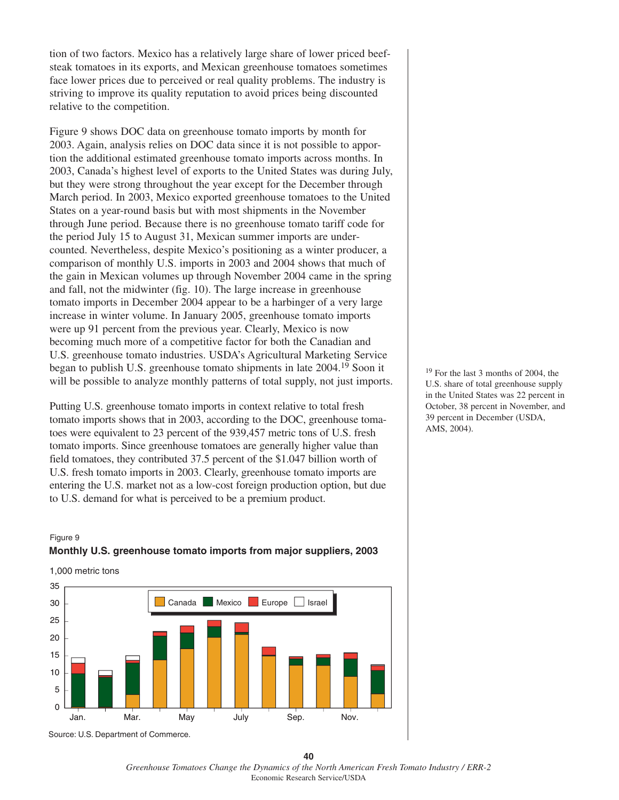tion of two factors. Mexico has a relatively large share of lower priced beefsteak tomatoes in its exports, and Mexican greenhouse tomatoes sometimes face lower prices due to perceived or real quality problems. The industry is striving to improve its quality reputation to avoid prices being discounted relative to the competition.

Figure 9 shows DOC data on greenhouse tomato imports by month for 2003. Again, analysis relies on DOC data since it is not possible to apportion the additional estimated greenhouse tomato imports across months. In 2003, Canada's highest level of exports to the United States was during July, but they were strong throughout the year except for the December through March period. In 2003, Mexico exported greenhouse tomatoes to the United States on a year-round basis but with most shipments in the November through June period. Because there is no greenhouse tomato tariff code for the period July 15 to August 31, Mexican summer imports are undercounted. Nevertheless, despite Mexico's positioning as a winter producer, a comparison of monthly U.S. imports in 2003 and 2004 shows that much of the gain in Mexican volumes up through November 2004 came in the spring and fall, not the midwinter (fig. 10). The large increase in greenhouse tomato imports in December 2004 appear to be a harbinger of a very large increase in winter volume. In January 2005, greenhouse tomato imports were up 91 percent from the previous year. Clearly, Mexico is now becoming much more of a competitive factor for both the Canadian and U.S. greenhouse tomato industries. USDA's Agricultural Marketing Service began to publish U.S. greenhouse tomato shipments in late 2004.19 Soon it will be possible to analyze monthly patterns of total supply, not just imports.

Putting U.S. greenhouse tomato imports in context relative to total fresh tomato imports shows that in 2003, according to the DOC, greenhouse tomatoes were equivalent to 23 percent of the 939,457 metric tons of U.S. fresh tomato imports. Since greenhouse tomatoes are generally higher value than field tomatoes, they contributed 37.5 percent of the \$1.047 billion worth of U.S. fresh tomato imports in 2003. Clearly, greenhouse tomato imports are entering the U.S. market not as a low-cost foreign production option, but due to U.S. demand for what is perceived to be a premium product.

#### Figure 9 **Monthly U.S. greenhouse tomato imports from major suppliers, 2003**

1,000 metric tons



Source: U.S. Department of Commerce.

<sup>19</sup> For the last 3 months of 2004, the U.S. share of total greenhouse supply in the United States was 22 percent in October, 38 percent in November, and 39 percent in December (USDA, AMS, 2004).

**<sup>40</sup>** *Greenhouse Tomatoes Change the Dynamics of the North American Fresh Tomato Industry / ERR-2* Economic Research Service/USDA